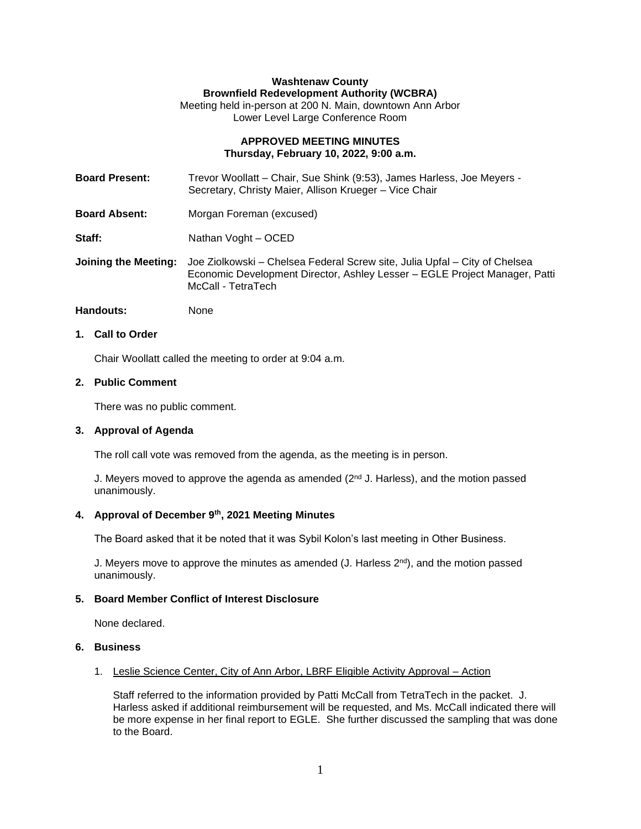# **Washtenaw County Brownfield Redevelopment Authority (WCBRA)**

Meeting held in-person at 200 N. Main, downtown Ann Arbor Lower Level Large Conference Room

### **APPROVED MEETING MINUTES Thursday, February 10, 2022, 9:00 a.m.**

| <b>Board Present:</b>       | Trevor Woollatt - Chair, Sue Shink (9:53), James Harless, Joe Meyers -<br>Secretary, Christy Maier, Allison Krueger - Vice Chair                                               |
|-----------------------------|--------------------------------------------------------------------------------------------------------------------------------------------------------------------------------|
| <b>Board Absent:</b>        | Morgan Foreman (excused)                                                                                                                                                       |
| Staff:                      | Nathan Voght - OCED                                                                                                                                                            |
| <b>Joining the Meeting:</b> | Joe Ziolkowski – Chelsea Federal Screw site, Julia Upfal – City of Chelsea<br>Economic Development Director, Ashley Lesser - EGLE Project Manager, Patti<br>McCall - TetraTech |

**Handouts:** None

### **1. Call to Order**

Chair Woollatt called the meeting to order at 9:04 a.m.

## **2. Public Comment**

There was no public comment.

### **3. Approval of Agenda**

The roll call vote was removed from the agenda, as the meeting is in person.

J. Meyers moved to approve the agenda as amended  $(2^{nd}$  J. Harless), and the motion passed unanimously.

### **4. Approval of December 9th , 2021 Meeting Minutes**

The Board asked that it be noted that it was Sybil Kolon's last meeting in Other Business.

J. Meyers move to approve the minutes as amended (J. Harless  $2^{nd}$ ), and the motion passed unanimously.

## **5. Board Member Conflict of Interest Disclosure**

None declared.

### **6. Business**

1. Leslie Science Center, City of Ann Arbor, LBRF Eligible Activity Approval – Action

Staff referred to the information provided by Patti McCall from TetraTech in the packet. J. Harless asked if additional reimbursement will be requested, and Ms. McCall indicated there will be more expense in her final report to EGLE. She further discussed the sampling that was done to the Board.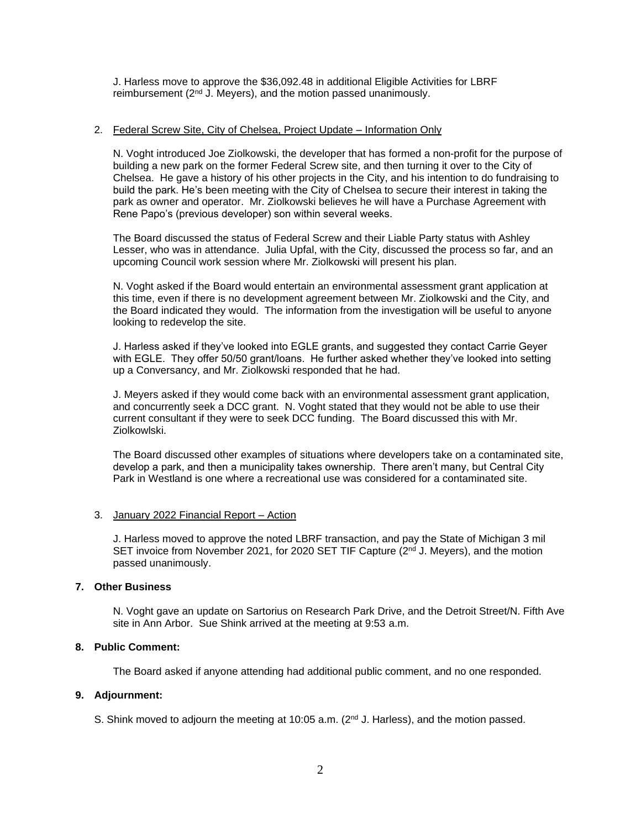J. Harless move to approve the \$36,092.48 in additional Eligible Activities for LBRF reimbursement (2<sup>nd</sup> J. Mevers), and the motion passed unanimously.

#### 2. Federal Screw Site, City of Chelsea, Project Update – Information Only

N. Voght introduced Joe Ziolkowski, the developer that has formed a non-profit for the purpose of building a new park on the former Federal Screw site, and then turning it over to the City of Chelsea. He gave a history of his other projects in the City, and his intention to do fundraising to build the park. He's been meeting with the City of Chelsea to secure their interest in taking the park as owner and operator. Mr. Ziolkowski believes he will have a Purchase Agreement with Rene Papo's (previous developer) son within several weeks.

The Board discussed the status of Federal Screw and their Liable Party status with Ashley Lesser, who was in attendance. Julia Upfal, with the City, discussed the process so far, and an upcoming Council work session where Mr. Ziolkowski will present his plan.

N. Voght asked if the Board would entertain an environmental assessment grant application at this time, even if there is no development agreement between Mr. Ziolkowski and the City, and the Board indicated they would. The information from the investigation will be useful to anyone looking to redevelop the site.

J. Harless asked if they've looked into EGLE grants, and suggested they contact Carrie Geyer with EGLE. They offer 50/50 grant/loans. He further asked whether they've looked into setting up a Conversancy, and Mr. Ziolkowski responded that he had.

J. Meyers asked if they would come back with an environmental assessment grant application, and concurrently seek a DCC grant. N. Voght stated that they would not be able to use their current consultant if they were to seek DCC funding. The Board discussed this with Mr. Ziolkowlski.

The Board discussed other examples of situations where developers take on a contaminated site, develop a park, and then a municipality takes ownership. There aren't many, but Central City Park in Westland is one where a recreational use was considered for a contaminated site.

#### 3. January 2022 Financial Report – Action

J. Harless moved to approve the noted LBRF transaction, and pay the State of Michigan 3 mil SET invoice from November 2021, for 2020 SET TIF Capture ( $2<sup>nd</sup>$  J. Meyers), and the motion passed unanimously.

### **7. Other Business**

N. Voght gave an update on Sartorius on Research Park Drive, and the Detroit Street/N. Fifth Ave site in Ann Arbor. Sue Shink arrived at the meeting at 9:53 a.m.

#### **8. Public Comment:**

The Board asked if anyone attending had additional public comment, and no one responded.

### **9. Adjournment:**

S. Shink moved to adjourn the meeting at 10:05 a.m. (2<sup>nd</sup> J. Harless), and the motion passed.